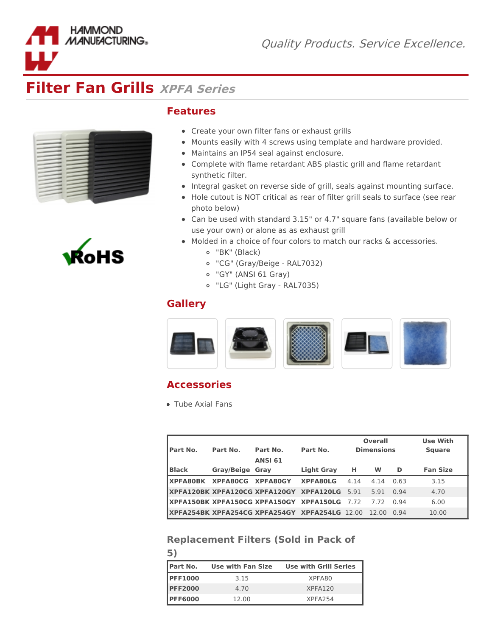

|  | ۰ |  |
|--|---|--|
|  |   |  |
|  |   |  |
|  |   |  |
|  | ۰ |  |
|  |   |  |
|  | - |  |
|  |   |  |
|  |   |  |
|  |   |  |
|  |   |  |
|  |   |  |
|  |   |  |
|  |   |  |
|  |   |  |
|  |   |  |
|  |   |  |
|  |   |  |
|  |   |  |
|  |   |  |

**HAMMOND MANUFACTURING®** 



## **Features**

- Create your own filter fans or exhaust grills
- Mounts easily with 4 screws using template and hardware provided.
- Maintains an IP54 seal against enclosure.
- Complete with flame retardant ABS plastic grill and flame retardant synthetic filter.
- Integral gasket on reverse side of grill, seals against mounting surface.
- Hole cutout is NOT critical as rear of filter grill seals to surface (see rear photo below)
- Can be used with standard 3.15" or 4.7" square fans (available below or use your own) or alone as as exhaust grill
- Molded in a choice of four colors to match our racks & accessories.
	- "BK" (Black)
	- "CG" (Gray/Beige RAL7032)
	- "GY" (ANSI 61 Gray)
	- "LG" (Light Gray RAL7035)

## **Gallery**



## **Accessories**

Tube Axial Fans

**5)**

| <b>Part No.</b>                    | Part No.               | Part No.<br><b>ANSI 61</b>                           | Part No.          |      | <b>Overall</b><br><b>Dimensions</b> |           | <b>Use With</b><br><b>Square</b> |
|------------------------------------|------------------------|------------------------------------------------------|-------------------|------|-------------------------------------|-----------|----------------------------------|
| <b>Black</b>                       | <b>Gray/Beige Gray</b> |                                                      | <b>Light Gray</b> | н    | W                                   | D         | <b>Fan Size</b>                  |
| <b>IXPFA80BK XPFA80CG XPFA80GY</b> |                        |                                                      | <b>XPFA80LG</b>   | 4.14 | 4.14                                | 0.63      | 3.15                             |
|                                    |                        | <b>IXPFA120BK XPFA120CG XPFA120GY XPFA120LG 5.91</b> |                   |      | 5.91                                | 0.94      | 4.70                             |
|                                    |                        | XPFA150BK XPFA150CG XPFA150GY XPFA150LG              |                   | 7.72 | 772                                 | በ 94      | 6.00                             |
|                                    |                        | IXPFA254BK XPFA254CG XPFA254GY XPFA254LG 12.00       |                   |      | 12.00                               | . በ    ዓ4 | 10.00                            |

## **Replacement Filters (Sold in Pack of**

| <b>IPart No.</b> | Use with Fan Size | <b>Use with Grill Series</b> |
|------------------|-------------------|------------------------------|
| <b>PFF1000</b>   | 3.15              | XPFA80                       |
| <b>PFF2000</b>   | 4.70              | XPFA120                      |
| <b>PFF6000</b>   | 12.00             | XPFA <sub>254</sub>          |